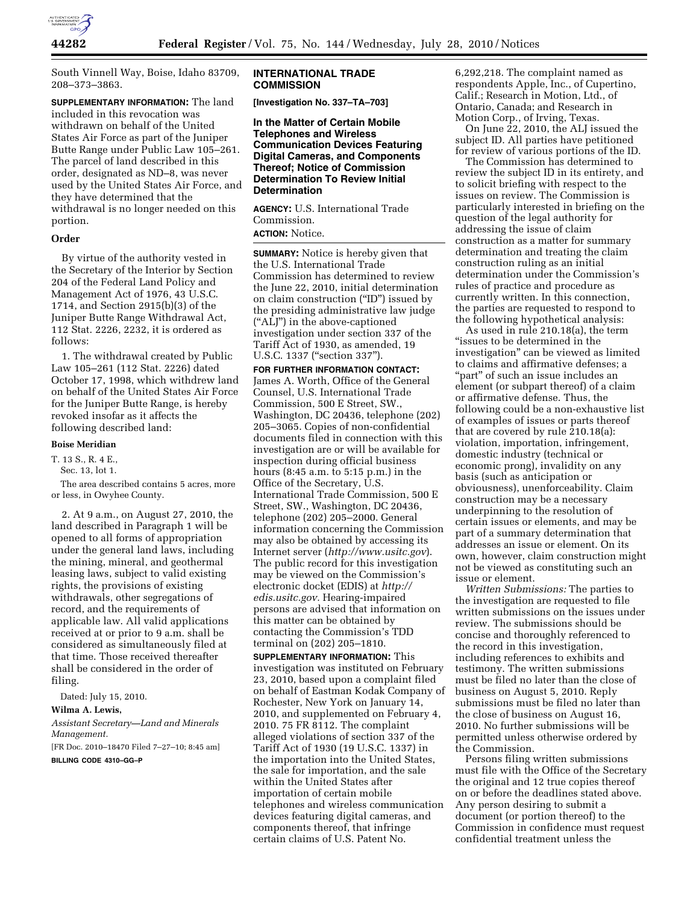

South Vinnell Way, Boise, Idaho 83709, 208–373–3863.

**SUPPLEMENTARY INFORMATION:** The land included in this revocation was withdrawn on behalf of the United States Air Force as part of the Juniper Butte Range under Public Law 105–261. The parcel of land described in this order, designated as ND–8, was never used by the United States Air Force, and they have determined that the withdrawal is no longer needed on this portion.

# **Order**

By virtue of the authority vested in the Secretary of the Interior by Section 204 of the Federal Land Policy and Management Act of 1976, 43 U.S.C. 1714, and Section 2915(b)(3) of the Juniper Butte Range Withdrawal Act, 112 Stat. 2226, 2232, it is ordered as follows:

1. The withdrawal created by Public Law 105–261 (112 Stat. 2226) dated October 17, 1998, which withdrew land on behalf of the United States Air Force for the Juniper Butte Range, is hereby revoked insofar as it affects the following described land:

#### **Boise Meridian**

T. 13 S., R. 4 E.,

Sec. 13, lot 1.

The area described contains 5 acres, more or less, in Owyhee County.

2. At 9 a.m., on August 27, 2010, the land described in Paragraph 1 will be opened to all forms of appropriation under the general land laws, including the mining, mineral, and geothermal leasing laws, subject to valid existing rights, the provisions of existing withdrawals, other segregations of record, and the requirements of applicable law. All valid applications received at or prior to 9 a.m. shall be considered as simultaneously filed at that time. Those received thereafter shall be considered in the order of filing.

Dated: July 15, 2010.

#### **Wilma A. Lewis,**

*Assistant Secretary—Land and Minerals Management.* 

[FR Doc. 2010–18470 Filed 7–27–10; 8:45 am]

**BILLING CODE 4310–GG–P** 

## **INTERNATIONAL TRADE COMMISSION**

**[Investigation No. 337–TA–703]** 

**In the Matter of Certain Mobile Telephones and Wireless Communication Devices Featuring Digital Cameras, and Components Thereof; Notice of Commission Determination To Review Initial Determination** 

**AGENCY:** U.S. International Trade Commission.

# **ACTION:** Notice.

**SUMMARY:** Notice is hereby given that the U.S. International Trade Commission has determined to review the June 22, 2010, initial determination on claim construction (''ID'') issued by the presiding administrative law judge (''ALJ'') in the above-captioned investigation under section 337 of the Tariff Act of 1930, as amended, 19 U.S.C. 1337 ("section 337").

**FOR FURTHER INFORMATION CONTACT:**  James A. Worth, Office of the General Counsel, U.S. International Trade Commission, 500 E Street, SW., Washington, DC 20436, telephone (202) 205–3065. Copies of non-confidential documents filed in connection with this investigation are or will be available for inspection during official business hours (8:45 a.m. to 5:15 p.m.) in the Office of the Secretary, U.S. International Trade Commission, 500 E Street, SW., Washington, DC 20436, telephone (202) 205–2000. General information concerning the Commission may also be obtained by accessing its Internet server (*<http://www.usitc.gov>*). The public record for this investigation may be viewed on the Commission's electronic docket (EDIS) at *[http://](http://edis.usitc.gov)  [edis.usitc.gov.](http://edis.usitc.gov)* Hearing-impaired persons are advised that information on this matter can be obtained by contacting the Commission's TDD terminal on (202) 205–1810.

**SUPPLEMENTARY INFORMATION:** This investigation was instituted on February 23, 2010, based upon a complaint filed on behalf of Eastman Kodak Company of Rochester, New York on January 14, 2010, and supplemented on February 4, 2010. 75 FR 8112. The complaint alleged violations of section 337 of the Tariff Act of 1930 (19 U.S.C. 1337) in the importation into the United States, the sale for importation, and the sale within the United States after importation of certain mobile telephones and wireless communication devices featuring digital cameras, and components thereof, that infringe certain claims of U.S. Patent No.

6,292,218. The complaint named as respondents Apple, Inc., of Cupertino, Calif.; Research in Motion, Ltd., of Ontario, Canada; and Research in Motion Corp., of Irving, Texas.

On June 22, 2010, the ALJ issued the subject ID. All parties have petitioned for review of various portions of the ID.

The Commission has determined to review the subject ID in its entirety, and to solicit briefing with respect to the issues on review. The Commission is particularly interested in briefing on the question of the legal authority for addressing the issue of claim construction as a matter for summary determination and treating the claim construction ruling as an initial determination under the Commission's rules of practice and procedure as currently written. In this connection, the parties are requested to respond to the following hypothetical analysis:

As used in rule 210.18(a), the term "issues to be determined in the investigation'' can be viewed as limited to claims and affirmative defenses; a "part" of such an issue includes an element (or subpart thereof) of a claim or affirmative defense. Thus, the following could be a non-exhaustive list of examples of issues or parts thereof that are covered by rule 210.18(a): violation, importation, infringement, domestic industry (technical or economic prong), invalidity on any basis (such as anticipation or obviousness), unenforceability. Claim construction may be a necessary underpinning to the resolution of certain issues or elements, and may be part of a summary determination that addresses an issue or element. On its own, however, claim construction might not be viewed as constituting such an issue or element.

*Written Submissions:* The parties to the investigation are requested to file written submissions on the issues under review. The submissions should be concise and thoroughly referenced to the record in this investigation, including references to exhibits and testimony. The written submissions must be filed no later than the close of business on August 5, 2010. Reply submissions must be filed no later than the close of business on August 16, 2010. No further submissions will be permitted unless otherwise ordered by the Commission.

Persons filing written submissions must file with the Office of the Secretary the original and 12 true copies thereof on or before the deadlines stated above. Any person desiring to submit a document (or portion thereof) to the Commission in confidence must request confidential treatment unless the